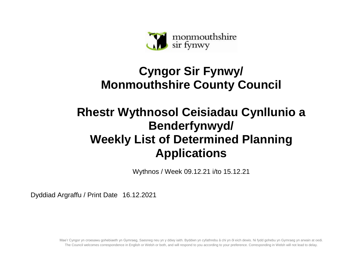

## **Cyngor Sir Fynwy/ Monmouthshire County Council**

## **Rhestr Wythnosol Ceisiadau Cynllunio a Benderfynwyd/ Weekly List of Determined Planning Applications**

Wythnos / Week 09.12.21 i/to 15.12.21

Dyddiad Argraffu / Print Date 16.12.2021

Mae'r Cyngor yn croesawu gohebiaeth yn Gymraeg, Saesneg neu yn y ddwy iaith. Byddwn yn cyfathrebu â chi yn ôl eich dewis. Ni fydd gohebu yn Gymraeg yn arwain at oedi. The Council welcomes correspondence in English or Welsh or both, and will respond to you according to your preference. Corresponding in Welsh will not lead to delay.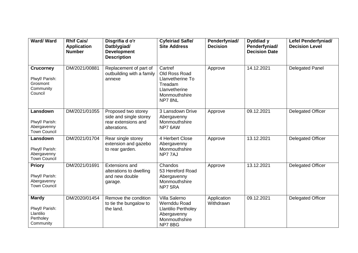| Ward/Ward                                                              | <b>Rhif Cais/</b><br><b>Application</b><br><b>Number</b> | Disgrifia d o'r<br>Datblygiad/<br><b>Development</b><br><b>Description</b>           | <b>Cyfeiriad Safle/</b><br><b>Site Address</b>                                                        | Penderfyniad/<br><b>Decision</b> | Dyddiad y<br>Penderfyniad/<br><b>Decision Date</b> | <b>Lefel Penderfyniad/</b><br><b>Decision Level</b> |
|------------------------------------------------------------------------|----------------------------------------------------------|--------------------------------------------------------------------------------------|-------------------------------------------------------------------------------------------------------|----------------------------------|----------------------------------------------------|-----------------------------------------------------|
| <b>Crucorney</b><br>Plwyf/ Parish:<br>Grosmont<br>Community<br>Council | DM/2021/00881                                            | Replacement of part of<br>outbuilding with a family<br>annexe                        | Cartref<br>Old Ross Road<br>Llanvetherine To<br>Treadam<br>Llanvetherine<br>Monmouthshire<br>NP78NL   | Approve                          | 14.12.2021                                         | <b>Delegated Panel</b>                              |
| Lansdown<br>Plwyf/ Parish:<br>Abergavenny<br><b>Town Council</b>       | DM/2021/01055                                            | Proposed two storey<br>side and single storey<br>rear extensions and<br>alterations. | 3 Lansdown Drive<br>Abergavenny<br>Monmouthshire<br>NP7 6AW                                           | Approve                          | 09.12.2021                                         | <b>Delegated Officer</b>                            |
| Lansdown<br>Plwyf/ Parish:<br>Abergavenny<br><b>Town Council</b>       | DM/2021/01704                                            | Rear single storey<br>extension and gazebo<br>to rear garden.                        | 4 Herbert Close<br>Abergavenny<br>Monmouthshire<br>NP77AJ                                             | Approve                          | 13.12.2021                                         | <b>Delegated Officer</b>                            |
| <b>Priory</b><br>Plwyf/ Parish:<br>Abergavenny<br><b>Town Council</b>  | DM/2021/01691                                            | <b>Extensions and</b><br>alterations to dwelling<br>and new double<br>garage.        | Chandos<br>53 Hereford Road<br>Abergavenny<br>Monmouthshire<br>NP7 5RA                                | Approve                          | 13.12.2021                                         | <b>Delegated Officer</b>                            |
| <b>Mardy</b><br>Plwyf/ Parish:<br>Llantilio<br>Pertholey<br>Community  | DM/2020/01454                                            | Remove the condition<br>to tie the bungalow to<br>the land.                          | Villa Salerno<br>Wernddu Road<br><b>Llantilio Pertholey</b><br>Abergavenny<br>Monmouthshire<br>NP78BG | Application<br>Withdrawn         | 09.12.2021                                         | <b>Delegated Officer</b>                            |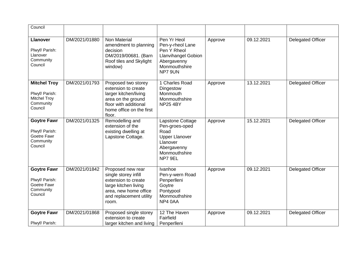| Council                                                                              |               |                                                                                                                                                          |                                                                                                                            |         |            |                          |
|--------------------------------------------------------------------------------------|---------------|----------------------------------------------------------------------------------------------------------------------------------------------------------|----------------------------------------------------------------------------------------------------------------------------|---------|------------|--------------------------|
| <b>Llanover</b><br>Plwyf/ Parish:<br>Llanover<br>Community<br>Council                | DM/2021/01880 | Non Material<br>amendment to planning<br>decision<br>DM/2019/00681. (Barn<br>Roof tiles and Skylight<br>window)                                          | Pen Yr Heol<br>Pen-y-rheol Lane<br>Pen Y Rheol<br><b>Llanvihangel Gobion</b><br>Abergavenny<br>Monmouthshire<br>NP7 9UN    | Approve | 09.12.2021 | <b>Delegated Officer</b> |
| <b>Mitchel Troy</b><br>Plwyf/ Parish:<br><b>Mitchel Troy</b><br>Community<br>Council | DM/2021/01793 | Proposed two storey<br>extension to create<br>larger kitchen/living<br>area on the ground<br>floor with additional<br>home office on the first<br>floor. | 1 Charles Road<br>Dingestow<br>Monmouth<br>Monmouthshire<br><b>NP25 4BY</b>                                                | Approve | 13.12.2021 | Delegated Officer        |
| <b>Goytre Fawr</b><br>Plwyf/ Parish:<br>Goetre Fawr<br>Community<br>Council          | DM/2021/01325 | Remodelling and<br>extension of the<br>existing dwelling at<br>Lapstone Cottage.                                                                         | Lapstone Cottage<br>Pen-groes-oped<br>Road<br><b>Upper Llanover</b><br>Llanover<br>Abergavenny<br>Monmouthshire<br>NP7 9EL | Approve | 15.12.2021 | <b>Delegated Officer</b> |
| <b>Goytre Fawr</b><br>Plwyf/ Parish:<br>Goetre Fawr<br>Community<br>Council          | DM/2021/01842 | Proposed new rear<br>single storey infill<br>extension to create<br>large kitchen living<br>area, new home office<br>and replacement utility<br>room.    | Ivanhoe<br>Pen-y-wern Road<br>Penperlleni<br>Goytre<br>Pontypool<br>Monmouthshire<br>NP4 0AA                               | Approve | 09.12.2021 | <b>Delegated Officer</b> |
| <b>Goytre Fawr</b><br>Plwyf/ Parish:                                                 | DM/2021/01868 | Proposed single storey<br>extension to create<br>larger kitchen and living                                                                               | 12 The Haven<br>Fairfield<br>Penperlleni                                                                                   | Approve | 09.12.2021 | <b>Delegated Officer</b> |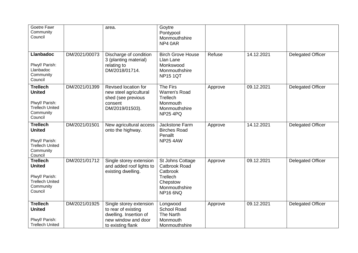| Goetre Fawr<br>Community<br>Council                                                                  |               | area.                                                                                                                | Goytre<br>Pontypool<br>Monmouthshire<br>NP4 0AR                                                           |         |            |                          |
|------------------------------------------------------------------------------------------------------|---------------|----------------------------------------------------------------------------------------------------------------------|-----------------------------------------------------------------------------------------------------------|---------|------------|--------------------------|
| <b>Llanbadoc</b><br>Plwyf/ Parish:<br>Llanbadoc<br>Community<br>Council                              | DM/2021/00073 | Discharge of condition<br>3 (planting material)<br>relating to<br>DM/2018/01714.                                     | <b>Birch Grove House</b><br>Llan Lane<br>Monkswood<br>Monmouthshire<br><b>NP15 1QT</b>                    | Refuse  | 14.12.2021 | <b>Delegated Officer</b> |
| <b>Trellech</b><br><b>United</b><br>Plwyf/ Parish:<br><b>Trellech United</b><br>Community<br>Council | DM/2021/01399 | Revised location for<br>new steel agricultural<br>shed (see previous<br>consent<br>DM/2019/01503).                   | The Firs<br>Warren's Road<br>Trellech<br>Monmouth<br>Monmouthshire<br><b>NP25 4PQ</b>                     | Approve | 09.12.2021 | <b>Delegated Officer</b> |
| <b>Trellech</b><br><b>United</b><br>Plwyf/ Parish:<br><b>Trellech United</b><br>Community<br>Council | DM/2021/01501 | New agricultural access<br>onto the highway.                                                                         | Jackstone Farm<br><b>Birches Road</b><br>Penallt<br><b>NP25 4AW</b>                                       | Approve | 14.12.2021 | <b>Delegated Officer</b> |
| <b>Trellech</b><br><b>United</b><br>Plwyf/ Parish:<br><b>Trellech United</b><br>Community<br>Council | DM/2021/01712 | Single storey extension<br>and added roof lights to<br>existing dwelling.                                            | St Johns Cottage<br>Catbrook Road<br>Catbrook<br>Trellech<br>Chepstow<br>Monmouthshire<br><b>NP16 6NQ</b> | Approve | 09.12.2021 | <b>Delegated Officer</b> |
| <b>Trellech</b><br><b>United</b><br>Plwyf/ Parish:<br><b>Trellech United</b>                         | DM/2021/01925 | Single storey extension<br>to rear of existing<br>dwelling. Insertion of<br>new window and door<br>to existing flank | Longwood<br><b>School Road</b><br>The Narth<br>Monmouth<br>Monmouthshire                                  | Approve | 09.12.2021 | <b>Delegated Officer</b> |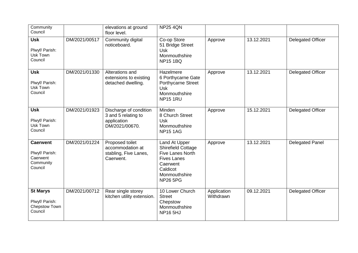| Community<br>Council                                                  |               | elevations at ground<br>floor level.                                           | <b>NP25 4QN</b>                                                                                                                           |                          |            |                          |
|-----------------------------------------------------------------------|---------------|--------------------------------------------------------------------------------|-------------------------------------------------------------------------------------------------------------------------------------------|--------------------------|------------|--------------------------|
| <b>Usk</b><br>Plwyf/ Parish:<br>Usk Town<br>Council                   | DM/2021/00517 | Community digital<br>noticeboard.                                              | Co-op Store<br>51 Bridge Street<br><b>Usk</b><br>Monmouthshire<br><b>NP15 1BQ</b>                                                         | Approve                  | 13.12.2021 | <b>Delegated Officer</b> |
| <b>Usk</b><br>Plwyf/ Parish:<br>Usk Town<br>Council                   | DM/2021/01330 | Alterations and<br>extensions to existing<br>detached dwelling.                | Hazelmere<br>6 Porthycarne Gate<br>Porthycarne Street<br><b>Usk</b><br>Monmouthshire<br><b>NP15 1RU</b>                                   | Approve                  | 13.12.2021 | <b>Delegated Officer</b> |
| <b>Usk</b><br>Plwyf/ Parish:<br>Usk Town<br>Council                   | DM/2021/01923 | Discharge of condition<br>3 and 5 relating to<br>application<br>DM/2021/00670. | Minden<br>8 Church Street<br><b>Usk</b><br>Monmouthshire<br><b>NP15 1AG</b>                                                               | Approve                  | 15.12.2021 | <b>Delegated Officer</b> |
| <b>Caerwent</b><br>Plwyf/ Parish:<br>Caerwent<br>Community<br>Council | DM/2021/01224 | Proposed toilet<br>accommodation at<br>stabling, Five Lanes,<br>Caerwent.      | Land At Upper<br>Shirefield Cottage<br>Five Lanes North<br><b>Fives Lanes</b><br>Caerwent<br>Caldicot<br>Monmouthshire<br><b>NP26 5PG</b> | Approve                  | 13.12.2021 | Delegated Panel          |
| <b>St Marys</b><br>Plwyf/ Parish:<br>Chepstow Town<br>Council         | DM/2021/00712 | Rear single storey<br>kitchen utility extension.                               | 10 Lower Church<br><b>Street</b><br>Chepstow<br>Monmouthshire<br><b>NP16 5HJ</b>                                                          | Application<br>Withdrawn | 09.12.2021 | <b>Delegated Officer</b> |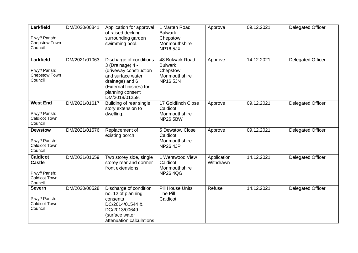| Larkfield<br>Plwyf/ Parish:<br>Chepstow Town<br>Council                               | DM/2020/00841 | Application for approval<br>of raised decking<br>surrounding garden<br>swimming pool.                                                                                          | 1 Marten Road<br><b>Bulwark</b><br>Chepstow<br>Monmouthshire<br><b>NP16 5JX</b>   | Approve                  | 09.12.2021 | Delegated Officer        |
|---------------------------------------------------------------------------------------|---------------|--------------------------------------------------------------------------------------------------------------------------------------------------------------------------------|-----------------------------------------------------------------------------------|--------------------------|------------|--------------------------|
| <b>Larkfield</b><br>Plwyf/ Parish:<br>Chepstow Town<br>Council                        | DM/2021/01063 | Discharge of conditions<br>3 (Drainage) 4 -<br>(driveway construction<br>and surface water<br>drainage) and 6<br>(External finishes) for<br>planning consent<br>DM/2018/01259. | 48 Bulwark Road<br><b>Bulwark</b><br>Chepstow<br>Monmouthshire<br><b>NP16 5JN</b> | Approve                  | 14.12.2021 | <b>Delegated Officer</b> |
| <b>West End</b><br>Plwyf/ Parish:<br><b>Caldicot Town</b><br>Council                  | DM/2021/01617 | Building of rear single<br>story extension to<br>dwelling.                                                                                                                     | 17 Goldfinch Close<br>Caldicot<br>Monmouthshire<br><b>NP26 5BW</b>                | Approve                  | 09.12.2021 | <b>Delegated Officer</b> |
| <b>Dewstow</b><br>Plwyf/ Parish:<br><b>Caldicot Town</b><br>Council                   | DM/2021/01576 | Replacement of<br>existing porch                                                                                                                                               | 5 Dewstow Close<br>Caldicot<br>Monmouthshire<br><b>NP26 4JP</b>                   | Approve                  | 09.12.2021 | <b>Delegated Officer</b> |
| <b>Caldicot</b><br><b>Castle</b><br>Plwyf/ Parish:<br><b>Caldicot Town</b><br>Council | DM/2021/01659 | Two storey side, single<br>storey rear and dormer<br>front extensions.                                                                                                         | 1 Wentwood View<br>Caldicot<br>Monmouthshire<br><b>NP264QG</b>                    | Application<br>Withdrawn | 14.12.2021 | <b>Delegated Officer</b> |
| <b>Severn</b><br>Plwyf/ Parish:<br><b>Caldicot Town</b><br>Council                    | DM/2020/00528 | Discharge of condition<br>no. 12 of planning<br>consents<br>DC/2014/01544 &<br>DC/2013/00649<br>(surface water<br>attenuation calculations                                     | <b>Pill House Units</b><br>The Pill<br>Caldicot                                   | Refuse                   | 14.12.2021 | <b>Delegated Officer</b> |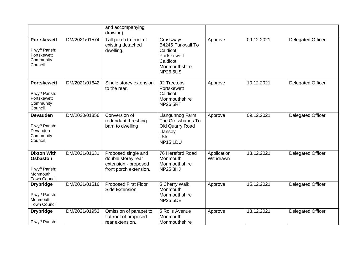|                                                                                            |               | and accompanying<br>drawing)                                                                |                                                                                                           |                          |            |                          |
|--------------------------------------------------------------------------------------------|---------------|---------------------------------------------------------------------------------------------|-----------------------------------------------------------------------------------------------------------|--------------------------|------------|--------------------------|
| <b>Portskewett</b><br>Plwyf/ Parish:<br>Portskewett<br>Community<br>Council                | DM/2021/01574 | Tall porch to front of<br>existing detached<br>dwelling.                                    | Crossways<br>B4245 Parkwall To<br>Caldicot<br>Portskewett<br>Caldicot<br>Monmouthshire<br><b>NP26 5US</b> | Approve                  | 09.12.2021 | <b>Delegated Officer</b> |
| <b>Portskewett</b><br>Plwyf/ Parish:<br>Portskewett<br>Community<br>Council                | DM/2021/01642 | Single storey extension<br>to the rear.                                                     | 92 Treetops<br>Portskewett<br>Caldicot<br>Monmouthshire<br><b>NP26 5RT</b>                                | Approve                  | 10.12.2021 | <b>Delegated Officer</b> |
| <b>Devauden</b><br>Plwyf/ Parish:<br>Devauden<br>Community<br>Council                      | DM/2020/01856 | Conversion of<br>redundant threshing<br>barn to dwelling                                    | Llangunnog Farm<br>The Crosshands To<br>Old Quarry Road<br>Llansoy<br><b>Usk</b><br><b>NP15 1DU</b>       | Approve                  | 09.12.2021 | <b>Delegated Officer</b> |
| <b>Dixton With</b><br><b>Osbaston</b><br>Plwyf/ Parish:<br>Monmouth<br><b>Town Council</b> | DM/2021/01631 | Proposed single and<br>double storey rear<br>extension - proposed<br>front porch extension. | 76 Hereford Road<br>Monmouth<br>Monmouthshire<br><b>NP25 3HJ</b>                                          | Application<br>Withdrawn | 13.12.2021 | <b>Delegated Officer</b> |
| <b>Drybridge</b><br>Plwyf/ Parish:<br>Monmouth<br><b>Town Council</b>                      | DM/2021/01516 | <b>Proposed First Floor</b><br>Side Extension.                                              | 5 Cherry Walk<br>Monmouth<br>Monmouthshire<br><b>NP25 5DE</b>                                             | Approve                  | 15.12.2021 | <b>Delegated Officer</b> |
| <b>Drybridge</b><br>Plwyf/ Parish:                                                         | DM/2021/01953 | Omission of parapet to<br>flat roof of proposed<br>rear extension.                          | 5 Rolls Avenue<br>Monmouth<br>Monmouthshire                                                               | Approve                  | 13.12.2021 | <b>Delegated Officer</b> |